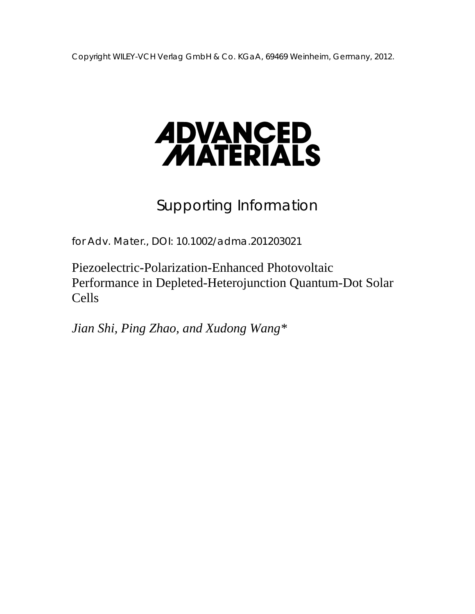

# Supporting Information

for *Adv. Mater.*, DOI: 10.1002/adma.201203021

Piezoelectric-Polarization-Enhanced Photovoltaic Performance in Depleted-Heterojunction Quantum-Dot Solar Cells

*Jian Shi, Ping Zhao, and Xudong Wang\**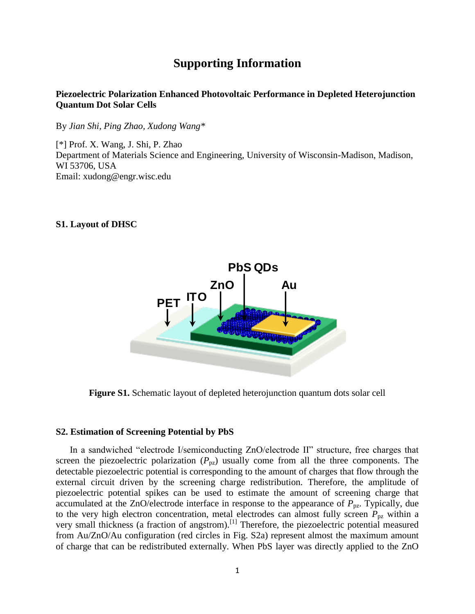# **Supporting Information**

# **Piezoelectric Polarization Enhanced Photovoltaic Performance in Depleted Heterojunction Quantum Dot Solar Cells**

By *Jian Shi, Ping Zhao, Xudong Wang\**

[\*] Prof. X. Wang, J. Shi, P. Zhao Department of Materials Science and Engineering, University of Wisconsin-Madison, Madison, WI 53706, USA Email: [xudong@engr.wisc.edu](mailto:xudong@engr.wisc.edu)

# **S1. Layout of DHSC**



**Figure S1.** Schematic layout of depleted heterojunction quantum dots solar cell

### **S2. Estimation of Screening Potential by PbS**

In a sandwiched "electrode I/semiconducting ZnO/electrode II" structure, free charges that screen the piezoelectric polarization  $(P_{pz})$  usually come from all the three components. The detectable piezoelectric potential is corresponding to the amount of charges that flow through the external circuit driven by the screening charge redistribution. Therefore, the amplitude of piezoelectric potential spikes can be used to estimate the amount of screening charge that accumulated at the ZnO/electrode interface in response to the appearance of  $P_{pz}$ . Typically, due to the very high electron concentration, metal electrodes can almost fully screen  $P_{pz}$  within a very small thickness (a fraction of angstrom).<sup>[1]</sup> Therefore, the piezoelectric potential measured from Au/ZnO/Au configuration (red circles in Fig. S2a) represent almost the maximum amount of charge that can be redistributed externally. When PbS layer was directly applied to the ZnO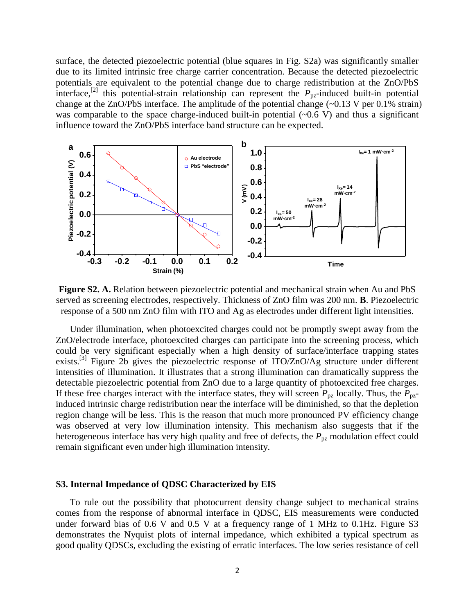surface, the detected piezoelectric potential (blue squares in Fig. S2a) was significantly smaller due to its limited intrinsic free charge carrier concentration. Because the detected piezoelectric potentials are equivalent to the potential change due to charge redistribution at the ZnO/PbS interface,<sup>[2]</sup> this potential-strain relationship can represent the  $P_{pz}$ -induced built-in potential change at the ZnO/PbS interface. The amplitude of the potential change (~0.13 V per 0.1% strain) was comparable to the space charge-induced built-in potential  $(\sim 0.6 \text{ V})$  and thus a significant influence toward the ZnO/PbS interface band structure can be expected.



**Figure S2. A.** Relation between piezoelectric potential and mechanical strain when Au and PbS served as screening electrodes, respectively. Thickness of ZnO film was 200 nm. **B**. Piezoelectric response of a 500 nm ZnO film with ITO and Ag as electrodes under different light intensities.

Under illumination, when photoexcited charges could not be promptly swept away from the ZnO/electrode interface, photoexcited charges can participate into the screening process, which could be very significant especially when a high density of surface/interface trapping states exists.<sup>[3]</sup> Figure 2b gives the piezoelectric response of ITO/ZnO/Ag structure under different intensities of illumination. It illustrates that a strong illumination can dramatically suppress the detectable piezoelectric potential from ZnO due to a large quantity of photoexcited free charges. If these free charges interact with the interface states, they will screen  $P_{pz}$  locally. Thus, the  $P_{pz}$ induced intrinsic charge redistribution near the interface will be diminished, so that the depletion region change will be less. This is the reason that much more pronounced PV efficiency change was observed at very low illumination intensity. This mechanism also suggests that if the heterogeneous interface has very high quality and free of defects, the  $P_{pz}$  modulation effect could remain significant even under high illumination intensity.

#### **S3. Internal Impedance of QDSC Characterized by EIS**

To rule out the possibility that photocurrent density change subject to mechanical strains comes from the response of abnormal interface in QDSC, EIS measurements were conducted under forward bias of 0.6 V and 0.5 V at a frequency range of 1 MHz to 0.1Hz. Figure S3 demonstrates the Nyquist plots of internal impedance, which exhibited a typical spectrum as good quality QDSCs, excluding the existing of erratic interfaces. The low series resistance of cell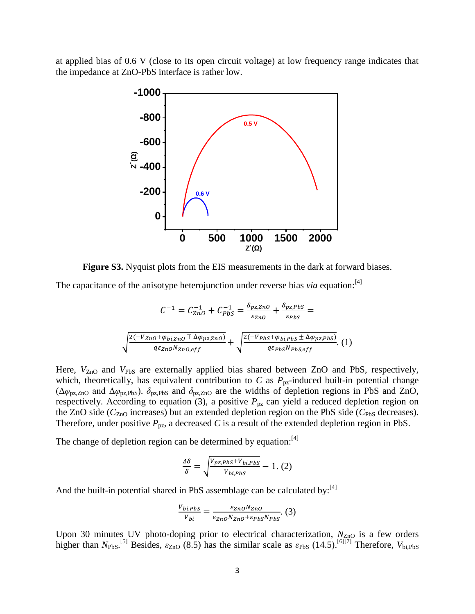at applied bias of 0.6 V (close to its open circuit voltage) at low frequency range indicates that the impedance at ZnO-PbS interface is rather low.



**Figure S3.** Nyquist plots from the EIS measurements in the dark at forward biases.

The capacitance of the anisotype heterojunction under reverse bias *via* equation:<sup>[4]</sup>

$$
C^{-1} = C_{ZnO}^{-1} + C_{PbS}^{-1} = \frac{\delta_{pz,ZnO}}{\varepsilon_{ZnO}} + \frac{\delta_{pz,PbS}}{\varepsilon_{PbS}} =
$$

$$
\sqrt{\frac{2(-V_{ZnO} + \varphi_{bi,ZnO} \mp \Delta \varphi_{pz,ZnO})}{q\varepsilon_{ZnO} N_{ZnO,eff}}} + \sqrt{\frac{2(-V_{PbS} + \varphi_{bi,PbS} \pm \Delta \varphi_{pz,PbS})}{q\varepsilon_{PbS} N_{PbS,eff}}}. (1)
$$

Here,  $V_{ZnO}$  and  $V_{PbS}$  are externally applied bias shared between ZnO and PbS, respectively, which, theoretically, has equivalent contribution to  $C$  as  $P_{pz}$ -induced built-in potential change ( $\Delta\varphi_{\text{pz,ZnO}}$  and  $\Delta\varphi_{\text{pz,PbS}}$ ).  $\delta_{\text{pz,PbS}}$  and  $\delta_{\text{pz,ZnO}}$  are the widths of depletion regions in PbS and ZnO, respectively. According to equation (3), a positive  $P_{pz}$  can yield a reduced depletion region on the ZnO side ( $C_{ZnO}$  increases) but an extended depletion region on the PbS side ( $C_{PbS}$  decreases). Therefore, under positive  $P_{pz}$ , a decreased C is a result of the extended depletion region in PbS.

The change of depletion region can be determined by equation:<sup>[4]</sup>

$$
\frac{\Delta \delta}{\delta} = \sqrt{\frac{V_{pz,PbS} + V_{bi,PbS}}{V_{bi,PbS}}} - 1. (2)
$$

And the built-in potential shared in PbS assemblage can be calculated by:<sup>[4]</sup>

$$
\frac{V_{bi,PbS}}{V_{bi}} = \frac{\varepsilon_{Zn0} N_{Zn0}}{\varepsilon_{Zn0} N_{Zn0} + \varepsilon_{PbS} N_{PbS}}.\tag{3}
$$

Upon 30 minutes UV photo-doping prior to electrical characterization,  $N_{ZnO}$  is a few orders higher than  $N_{\text{PbS}}$ .<sup>[5]</sup> Besides,  $\varepsilon_{\text{ZnO}}$  (8.5) has the similar scale as  $\varepsilon_{\text{PbS}}$  (14.5).<sup>[6][7]</sup> Therefore,  $V_{\text{bi,PbS}}$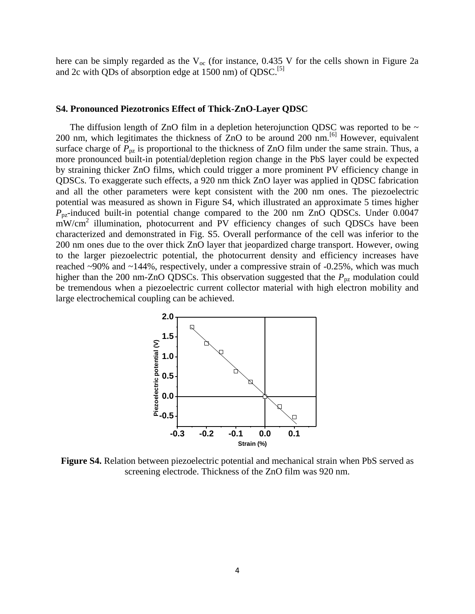here can be simply regarded as the  $V_{\text{oc}}$  (for instance, 0.435 V for the cells shown in Figure 2a and 2c with QDs of absorption edge at 1500 nm) of QDSC.<sup>[5]</sup>

#### **S4. Pronounced Piezotronics Effect of Thick-ZnO-Layer QDSC**

The diffusion length of ZnO film in a depletion heterojunction QDSC was reported to be  $\sim$ 200 nm, which legitimates the thickness of ZnO to be around 200 nm.[6] However, equivalent surface charge of  $P_{pz}$  is proportional to the thickness of ZnO film under the same strain. Thus, a more pronounced built-in potential/depletion region change in the PbS layer could be expected by straining thicker ZnO films, which could trigger a more prominent PV efficiency change in QDSCs. To exaggerate such effects, a 920 nm thick ZnO layer was applied in QDSC fabrication and all the other parameters were kept consistent with the 200 nm ones. The piezoelectric potential was measured as shown in Figure S4, which illustrated an approximate 5 times higher *P*pz-induced built-in potential change compared to the 200 nm ZnO QDSCs. Under 0.0047 mW/cm<sup>2</sup> illumination, photocurrent and PV efficiency changes of such QDSCs have been characterized and demonstrated in Fig. S5. Overall performance of the cell was inferior to the 200 nm ones due to the over thick ZnO layer that jeopardized charge transport. However, owing to the larger piezoelectric potential, the photocurrent density and efficiency increases have reached ~90% and ~144%, respectively, under a compressive strain of -0.25%, which was much higher than the 200 nm-ZnO QDSCs. This observation suggested that the  $P_{pz}$  modulation could be tremendous when a piezoelectric current collector material with high electron mobility and large electrochemical coupling can be achieved.



**Figure S4.** Relation between piezoelectric potential and mechanical strain when PbS served as screening electrode. Thickness of the ZnO film was 920 nm.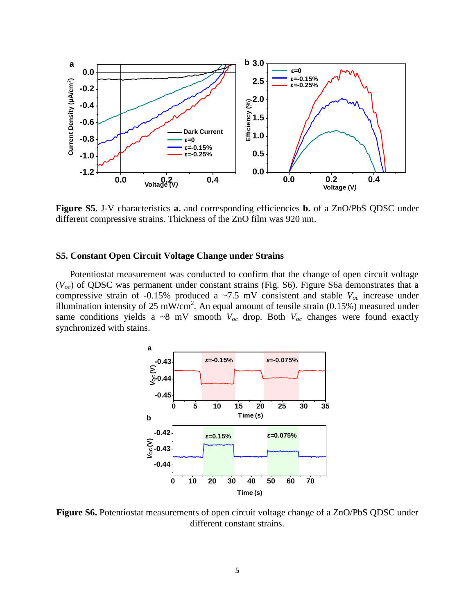

**Figure S5.** J-V characteristics **a.** and corresponding efficiencies **b.** of a ZnO/PbS QDSC under different compressive strains. Thickness of the ZnO film was 920 nm.

#### **S5. Constant Open Circuit Voltage Change under Strains**

Potentiostat measurement was conducted to confirm that the change of open circuit voltage (*Voc*) of QDSC was permanent under constant strains (Fig. S6). Figure S6a demonstrates that a compressive strain of -0.15% produced a  $\sim$ 7.5 mV consistent and stable  $V_{oc}$  increase under illumination intensity of 25 mW/cm<sup>2</sup>. An equal amount of tensile strain (0.15%) measured under same conditions yields a ~8 mV smooth  $V_{oc}$  drop. Both  $V_{oc}$  changes were found exactly synchronized with stains.



**Figure S6.** Potentiostat measurements of open circuit voltage change of a ZnO/PbS QDSC under different constant strains.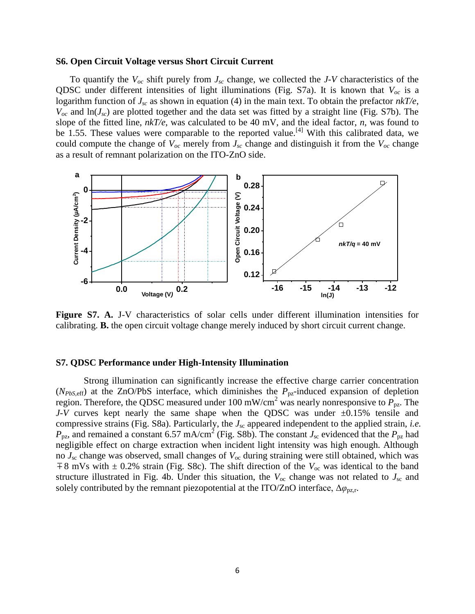#### **S6. Open Circuit Voltage versus Short Circuit Current**

To quantify the *Voc* shift purely from *Jsc* change, we collected the *J-V* characteristics of the QDSC under different intensities of light illuminations (Fig. S7a). It is known that *Voc* is a logarithm function of *Jsc* as shown in equation (4) in the main text. To obtain the prefactor *nkT/e*,  $V_{oc}$  and  $ln(J_{sc})$  are plotted together and the data set was fitted by a straight line (Fig. S7b). The slope of the fitted line, *nkT/e*, was calculated to be 40 mV, and the ideal factor, *n*, was found to be 1.55. These values were comparable to the reported value.<sup>[4]</sup> With this calibrated data, we could compute the change of  $V_{oc}$  merely from  $J_{sc}$  change and distinguish it from the  $V_{oc}$  change as a result of remnant polarization on the ITO-ZnO side.



**Figure S7. A.** J-V characteristics of solar cells under different illumination intensities for calibrating. **B.** the open circuit voltage change merely induced by short circuit current change.

#### **S7. QDSC Performance under High-Intensity Illumination**

Strong illumination can significantly increase the effective charge carrier concentration  $(N_{PbS, \text{eff}})$  at the ZnO/PbS interface, which diminishes the  $P_{pz}$ -induced expansion of depletion region. Therefore, the QDSC measured under 100 mW/cm<sup>2</sup> was nearly nonresponsive to  $P_{\text{pz}}$ . The *J-V* curves kept nearly the same shape when the QDSC was under  $\pm 0.15$ % tensile and compressive strains (Fig. S8a). Particularly, the *J*sc appeared independent to the applied strain, *i.e.*  $P_{\text{pz}}$ , and remained a constant 6.57 mA/cm<sup>2</sup> (Fig. S8b). The constant  $J_{\text{sc}}$  evidenced that the  $P_{\text{pz}}$  had negligible effect on charge extraction when incident light intensity was high enough. Although no *J*sc change was observed, small changes of *V*oc during straining were still obtained, which was  $\pm 8$  mVs with  $\pm 0.2$ % strain (Fig. S8c). The shift direction of the  $V_{\text{oc}}$  was identical to the band structure illustrated in Fig. 4b. Under this situation, the  $V_{\text{oc}}$  change was not related to  $J_{\text{sc}}$  and solely contributed by the remnant piezopotential at the ITO/ZnO interface,  $\Delta\varphi_{\text{pz,r}}$ .